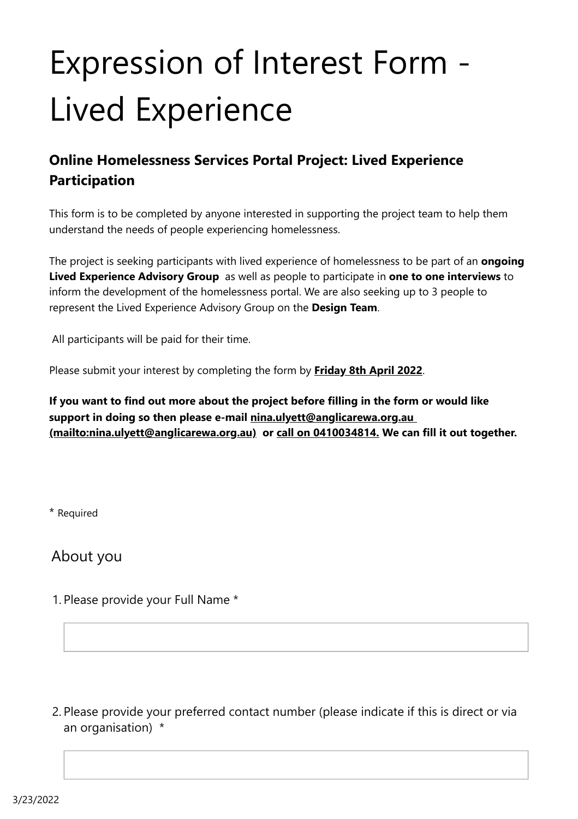# Expression of Interest Form - Lived Experience

## **Online Homelessness Services Portal Project: Lived Experience Participation**

This form is to be completed by anyone interested in supporting the project team to help them understand the needs of people experiencing homelessness.

The project is seeking participants with lived experience of homelessness to be part of an **ongoing Lived Experience Advisory Group** as well as people to participate in **one to one interviews** to inform the development of the homelessness portal. We are also seeking up to 3 people to represent the Lived Experience Advisory Group on the **Design Team**.

All participants will be paid for their time.

Please submit your interest by completing the form by **Friday 8th April 2022**.

**If you want to find out more about the project before filling in the form or would like support in doing so then please e-mail nina.ulyett@anglicarewa.org.au [\(mailto:nina.ulyett@anglicarewa.org.au\) or call on 0410034814. We can](mailto:nina.ulyett@anglicarewa.org.au) fill it out together.**

\* Required

About you

1. Please provide your Full Name \*

2. Please provide your preferred contact number (please indicate if this is direct or via an organisation) \*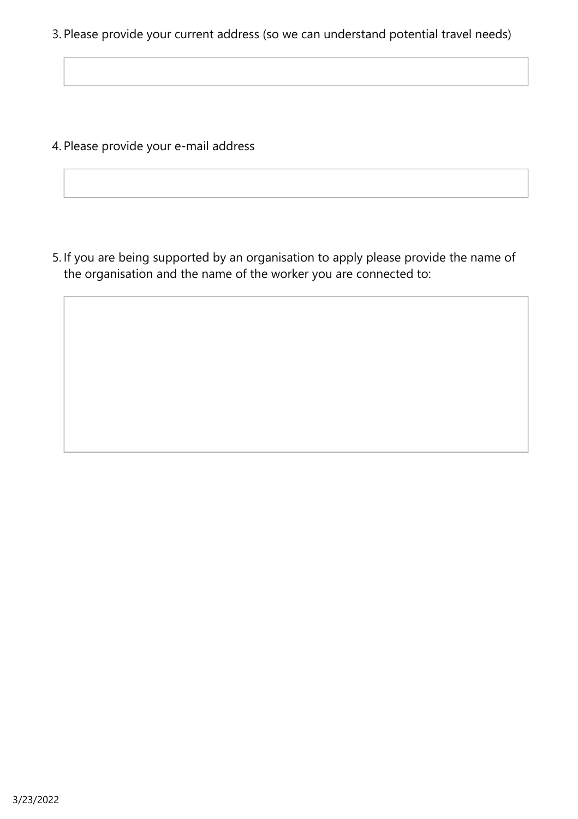3. Please provide your current address (so we can understand potential travel needs)

4. Please provide your e-mail address

5. If you are being supported by an organisation to apply please provide the name of the organisation and the name of the worker you are connected to: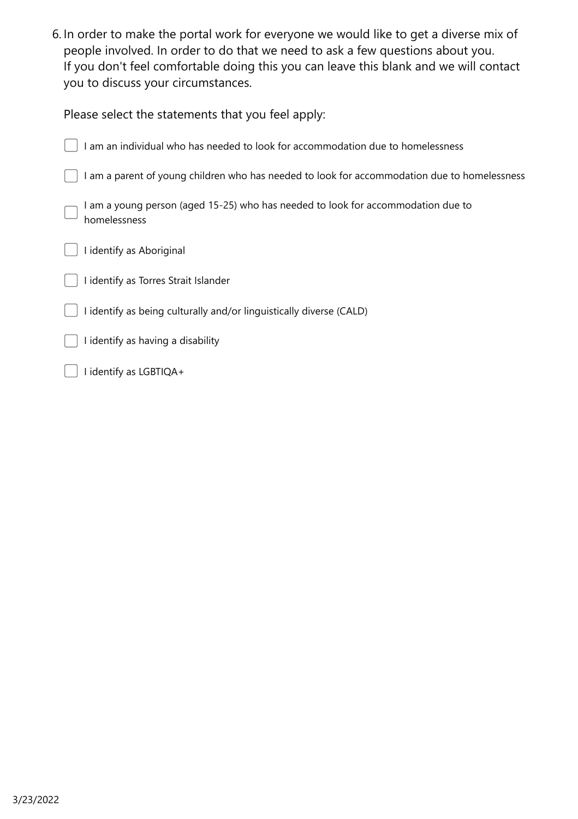6. In order to make the portal work for everyone we would like to get a diverse mix of people involved. In order to do that we need to ask a few questions about you. If you don't feel comfortable doing this you can leave this blank and we will contact you to discuss your circumstances.

| Please select the statements that you feel apply:                                              |
|------------------------------------------------------------------------------------------------|
| am an individual who has needed to look for accommodation due to homelessness                  |
| I am a parent of young children who has needed to look for accommodation due to homelessness   |
| am a young person (aged 15-25) who has needed to look for accommodation due to<br>homelessness |
| I identify as Aboriginal                                                                       |
| I identify as Torres Strait Islander                                                           |
| I identify as being culturally and/or linguistically diverse (CALD)                            |
| I identify as having a disability                                                              |
| I identify as LGBTIQA+                                                                         |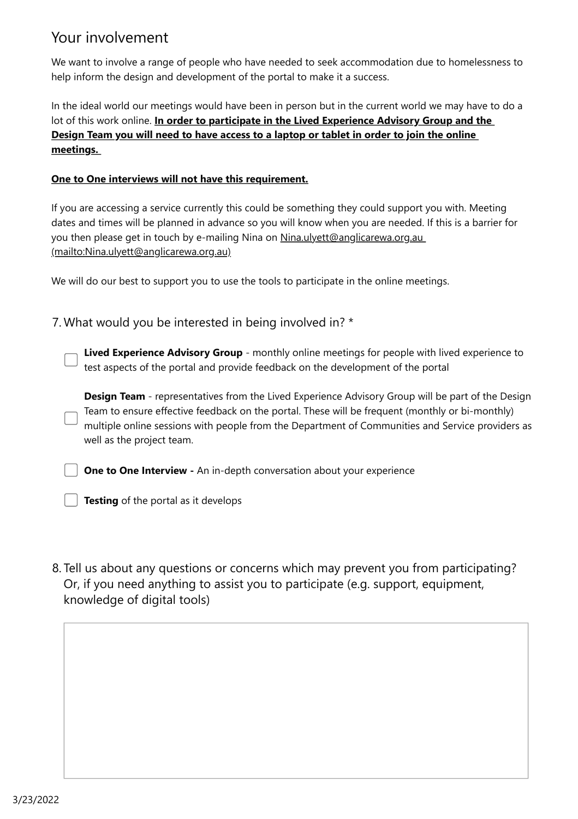### Your involvement

We want to involve a range of people who have needed to seek accommodation due to homelessness to help inform the design and development of the portal to make it a success.

In the ideal world our meetings would have been in person but in the current world we may have to do a lot of this work online. **In order to participate in the Lived Experience Advisory Group and the Design Team you will need to have access to a laptop or tablet in order to join the online meetings.** 

#### **One to One interviews will not have this requirement.**

If you are accessing a service currently this could be something they could support you with. Meeting dates and times will be planned in advance so you will know when you are needed. If this is a barrier for [you then please get in touch by e-mailing Nina on Nina.ulyett@anglicarewa.org.au](mailto:Nina.ulyett@anglicarewa.org.au) (mailto:Nina.ulyett@anglicarewa.org.au)

We will do our best to support you to use the tools to participate in the online meetings.

7. What would you be interested in being involved in? \*

**Lived Experience Advisory Group** - monthly online meetings for people with lived experience to test aspects of the portal and provide feedback on the development of the portal

**Design Team** - representatives from the Lived Experience Advisory Group will be part of the Design Team to ensure effective feedback on the portal. These will be frequent (monthly or bi-monthly) multiple online sessions with people from the Department of Communities and Service providers as well as the project team.

**One to One Interview - An in-depth conversation about your experience** 

**Testing** of the portal as it develops

8. Tell us about any questions or concerns which may prevent you from participating? Or, if you need anything to assist you to participate (e.g. support, equipment, knowledge of digital tools)